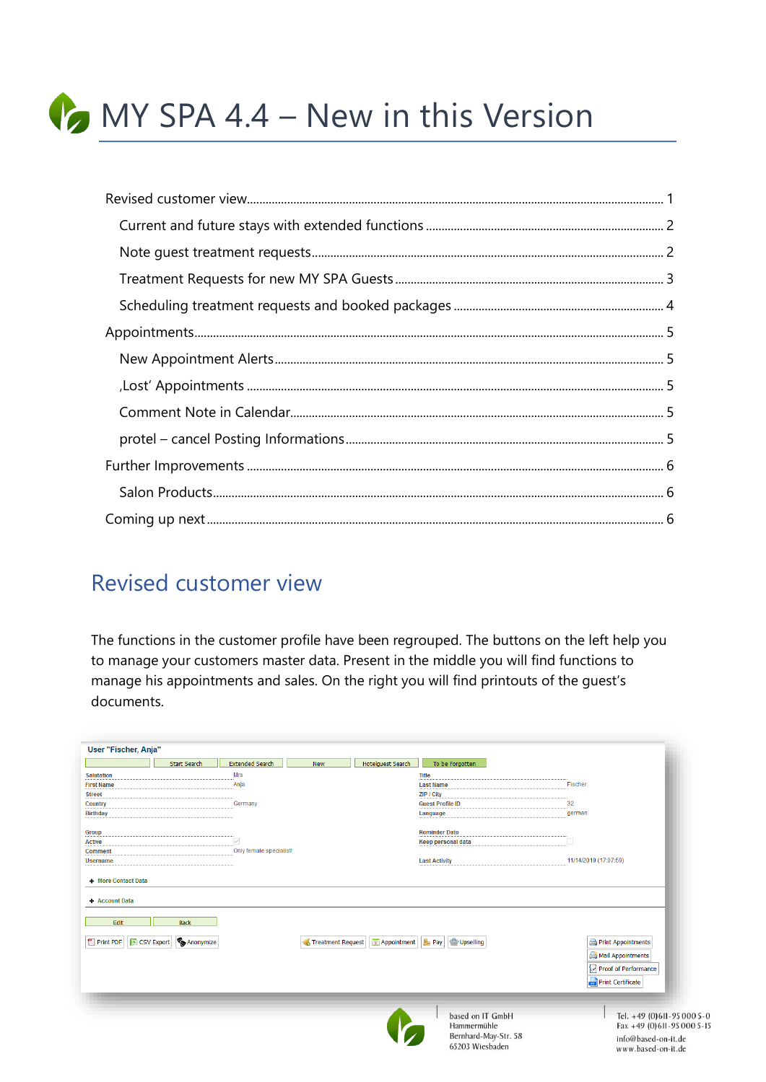

## <span id="page-0-0"></span>**Revised customer view**

The functions in the customer profile have been regrouped. The buttons on the left help you to manage your customers master data. Present in the middle you will find functions to manage his appointments and sales. On the right you will find printouts of the guest's documents.

| User "Fischer, Anja"                                             |                     |                         |                   |                            |                                                                            |                                                                                                       |
|------------------------------------------------------------------|---------------------|-------------------------|-------------------|----------------------------|----------------------------------------------------------------------------|-------------------------------------------------------------------------------------------------------|
|                                                                  | <b>Start Search</b> | <b>Extended Search</b>  | <b>New</b>        | Hotelguest Search          | To be Forgotten                                                            |                                                                                                       |
| <b>Salutation</b>                                                |                     | Mrs                     |                   |                            | <b>Title</b>                                                               |                                                                                                       |
| <b>First Name</b>                                                |                     | Anja                    |                   |                            | <b>Last Name</b>                                                           | Fischer                                                                                               |
| <b>Street</b>                                                    |                     |                         |                   |                            | ZIP / City                                                                 |                                                                                                       |
| Country                                                          |                     | Germany                 |                   |                            | <b>Guest Profile ID</b>                                                    | 32                                                                                                    |
| <b>Birthday</b>                                                  |                     |                         |                   |                            | Language                                                                   | german                                                                                                |
| Group                                                            |                     |                         |                   |                            | <b>Reminder Date</b>                                                       |                                                                                                       |
| <b>Active</b>                                                    |                     | $\checkmark$            |                   |                            | <b>Keep personal data</b>                                                  |                                                                                                       |
| <b>Comment</b>                                                   |                     | Only female specialist! |                   |                            |                                                                            |                                                                                                       |
| <b>Username</b>                                                  |                     |                         |                   |                            | <b>Last Activity</b>                                                       | 11/14/2019 (17:07:59)                                                                                 |
| + Account Data<br>Edit<br>Print PDF   S CSV Export   G Anonymize | <b>Back</b>         |                         | Treatment Request | Appointment   <b>B</b> Pay | Upselling                                                                  | Print Appointments<br>Mail Appointments<br>Proof of Performance<br><b>Print Certificate</b>           |
|                                                                  |                     |                         |                   |                            | based on IT GmbH<br>Hammermühle<br>Bernhard-May-Str. 58<br>65203 Wiesbaden | Tel. +49 (0)611-95 000 5-0<br>Fax +49 (0)611-95 000 5-15<br>info@based-on-it.de<br>www.based-on-it.de |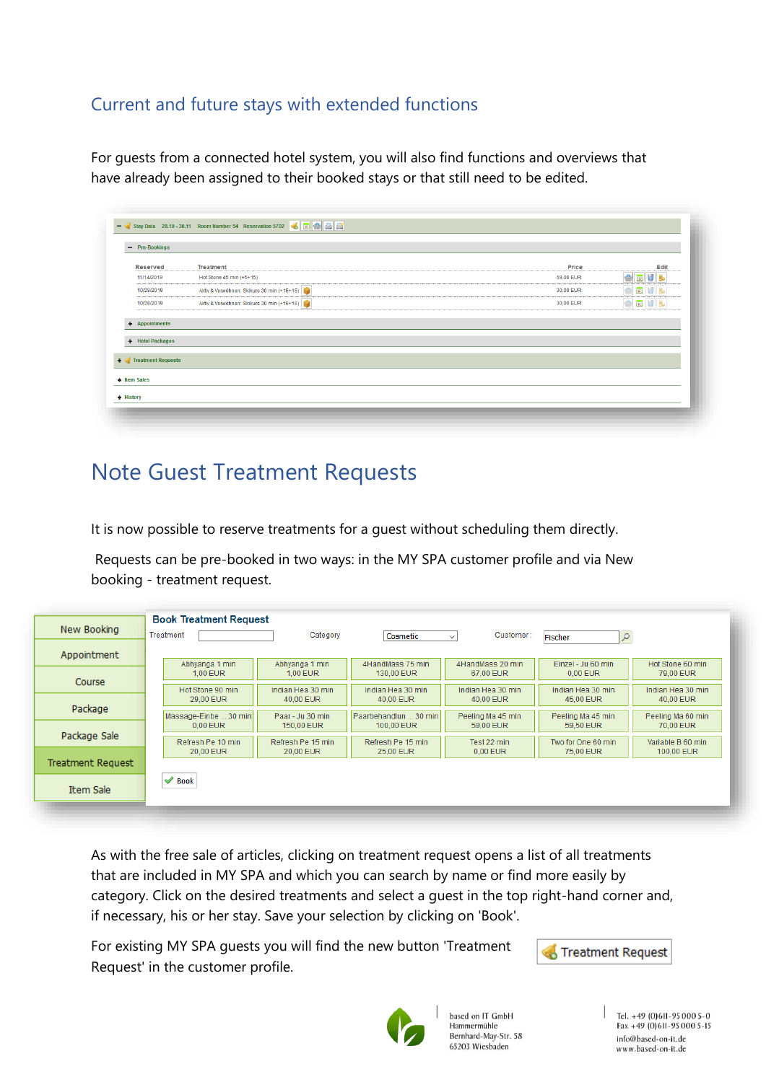### <span id="page-1-0"></span>Current and future stays with extended functions

For guests from a connected hotel system, you will also find functions and overviews that have already been assigned to their booked stays or that still need to be edited.

| - Pre-Bookings     |                                            |           |             |
|--------------------|--------------------------------------------|-----------|-------------|
| Reserved           | <b>Treatment</b>                           | Price     | Edit        |
| 11/14/2019         | Hot Stone 45 min (+5+15)                   | 69,00 EUR | <b>ARV</b>  |
| 10/28/2019         | Aktiv & Verwöhnen: Skikurs 30 min (+15+15) | 30,00 EUR | <b>OFVL</b> |
| 10/28/2019         | Aktiv & Verwöhnen: Skikurs 30 min (+15+15) | 30,00 EUR | <b>ODU</b>  |
| + Hotel Packages   |                                            |           |             |
|                    |                                            |           |             |
| Treatment Requests |                                            |           |             |
| + Item Sales       |                                            |           |             |

## <span id="page-1-1"></span>Note Guest Treatment Requests

It is now possible to reserve treatments for a guest without scheduling them directly.

Requests can be pre-booked in two ways: in the MY SPA customer profile and via New booking - treatment request.

| Appointment<br>Abhyanga 1 min<br>Abhyanga 1 min<br>4HandMass 75 min<br>4HandMass 20 min<br>Einzel - Ju 60 min<br>$0.00$ EUR<br>1.00 EUR<br>1,00 EUR<br>130.00 EUR<br>67.00 EUR<br>79,00 EUR<br>Course<br>Hot Stone 90 min<br>Indian Hea 30 min<br>Indian Hea 30 min<br>Indian Hea 30 min<br>Indian Hea 30 min<br>29.00 EUR<br>40.00 EUR<br>40.00 EUR<br>40.00 EUR<br>45.00 EUR<br>40.00 EUR<br>Package<br>Massage-Einbe  30 min<br>Paarbehandlun  30 min<br>Paar - Ju 30 min<br>Peeling Ma 45 min<br>Peeling Ma 45 min<br>Peeling Ma 60 min<br>$0.00$ EUR<br>150,00 EUR<br>100,00 EUR<br>59.00 EUR<br>70,00 EUR<br>59.50 EUR<br>Package Sale<br>Refresh Pe 10 min<br>Refresh Pe 15 min<br>Refresh Pe 15 min<br>Test 22 min<br>Two for One 60 min<br>20,00 EUR<br>20,00 EUR<br>25,00 EUR<br>0.00 EUR<br>75,00 EUR<br><b>Treatment Request</b> | New Booking | <b>Book Treatment Request</b><br>Treatment<br>Category<br>Customer:<br>Cosmetic<br>Q<br>Fischer<br>$\checkmark$ |
|----------------------------------------------------------------------------------------------------------------------------------------------------------------------------------------------------------------------------------------------------------------------------------------------------------------------------------------------------------------------------------------------------------------------------------------------------------------------------------------------------------------------------------------------------------------------------------------------------------------------------------------------------------------------------------------------------------------------------------------------------------------------------------------------------------------------------------------------|-------------|-----------------------------------------------------------------------------------------------------------------|
|                                                                                                                                                                                                                                                                                                                                                                                                                                                                                                                                                                                                                                                                                                                                                                                                                                              |             | Hot Stone 60 min                                                                                                |
|                                                                                                                                                                                                                                                                                                                                                                                                                                                                                                                                                                                                                                                                                                                                                                                                                                              |             | Indian Hea 30 min                                                                                               |
|                                                                                                                                                                                                                                                                                                                                                                                                                                                                                                                                                                                                                                                                                                                                                                                                                                              |             |                                                                                                                 |
|                                                                                                                                                                                                                                                                                                                                                                                                                                                                                                                                                                                                                                                                                                                                                                                                                                              |             |                                                                                                                 |
|                                                                                                                                                                                                                                                                                                                                                                                                                                                                                                                                                                                                                                                                                                                                                                                                                                              |             | Variable B 60 min<br>100,00 EUR                                                                                 |
| $\blacktriangleright$ Book                                                                                                                                                                                                                                                                                                                                                                                                                                                                                                                                                                                                                                                                                                                                                                                                                   |             |                                                                                                                 |
| <b>Item Sale</b>                                                                                                                                                                                                                                                                                                                                                                                                                                                                                                                                                                                                                                                                                                                                                                                                                             |             |                                                                                                                 |

As with the free sale of articles, clicking on treatment request opens a list of all treatments that are included in MY SPA and which you can search by name or find more easily by category. Click on the desired treatments and select a guest in the top right-hand corner and, if necessary, his or her stay. Save your selection by clicking on 'Book'.

For existing MY SPA guests you will find the new button 'Treatment Request' in the customer profile.





based on IT GmbH Hammermühle Bernhard-May-Str. 58 65203 Wiesbaden

Tel. +49 (0) 6II-95 000 5-0<br>Fax +49 (0) 6II-95 000 5-15 info@based-on-it.de www.based-on-it.de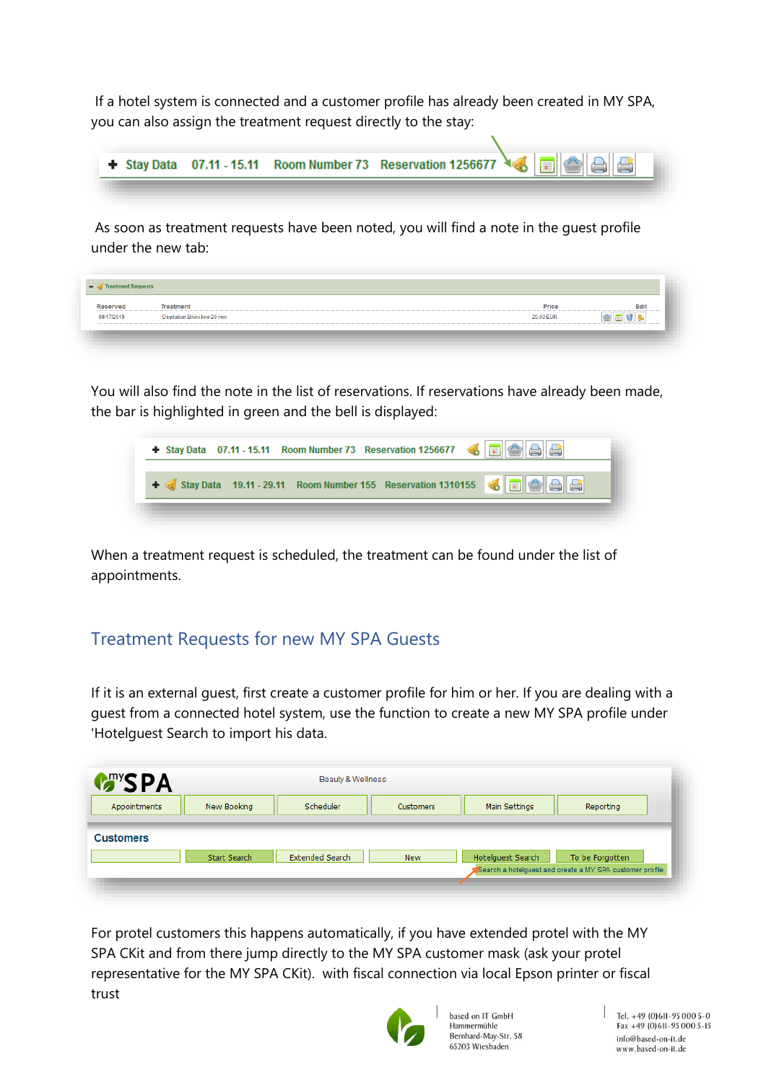If a hotel system is connected and a customer profile has already been created in MY SPA, you can also assign the treatment request directly to the stay:

|  |  | + Stay Data 07.11 - 15.11 Room Number 73 Reservation 1256677 |
|--|--|--------------------------------------------------------------|
|  |  |                                                              |

As soon as treatment requests have been noted, you will find a note in the guest profile under the new tab:

| Reserved   | Treatment                     | Price     | Edit |
|------------|-------------------------------|-----------|------|
| 09/17/2019 | Depilation Bikini line 20 min | 25,00 EUR |      |

You will also find the note in the list of reservations. If reservations have already been made, the bar is highlighted in green and the bell is displayed:



When a treatment request is scheduled, the treatment can be found under the list of appointments.

#### <span id="page-2-0"></span>Treatment Requests for new MY SPA Guests

If it is an external guest, first create a customer profile for him or her. If you are dealing with a guest from a connected hotel system, use the function to create a new MY SPA profile under 'Hotelguest Search to import his data.

| <b>MARYSPA</b>   |              |                 |            |                   |                                                           |
|------------------|--------------|-----------------|------------|-------------------|-----------------------------------------------------------|
| Appointments     | New Booking  | Scheduler       | Customers  | Main Settings     | Reporting                                                 |
| <b>Customers</b> |              |                 |            |                   |                                                           |
|                  | Start Search | Extended Search | <b>New</b> | Hotelguest Search | To be Forgotten                                           |
|                  |              |                 |            |                   | Search a hotelquest and create a MY SPA customer profile. |

For protel customers this happens automatically, if you have extended protel with the MY SPA CKit and from there jump directly to the MY SPA customer mask (ask your protel representative for the MY SPA CKit). with fiscal connection via local Epson printer or fiscal trust



based on IT GmbH Hammermühle Bernhard-May-Str. 58 65203 Wiesbaden

Tel. +49 (0)611-95 000 5-0  $Fax + 49(0)611 - 950005 - 15$ info@based-on-it.de www.based-on-it.de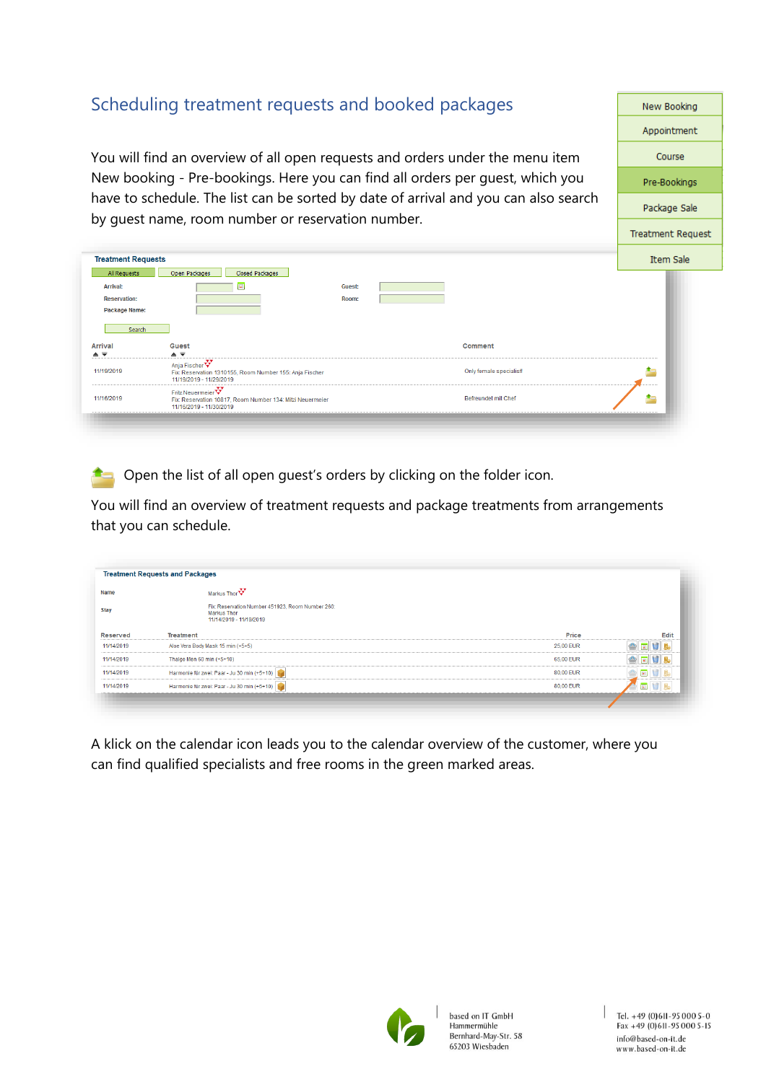### <span id="page-3-0"></span>Scheduling treatment requests and booked packages

You will find an overview of all open requests and orders under the menu item New booking - Pre-bookings. Here you can find all orders per guest, which you have to schedule. The list can be sorted by date of arrival and you can also search by guest name, room number or reservation number.

| <b>Treatment Requests</b>           |                                                                                                    |        |                            | Item Sale |
|-------------------------------------|----------------------------------------------------------------------------------------------------|--------|----------------------------|-----------|
| All Requests                        | Closed Packages<br>Open Packages                                                                   |        |                            |           |
| Arrival:                            | $\blacksquare$                                                                                     | Guest: |                            |           |
| <b>Reservation:</b>                 |                                                                                                    | Room:  |                            |           |
| Package Name:                       |                                                                                                    |        |                            |           |
|                                     |                                                                                                    |        |                            |           |
| Search                              |                                                                                                    |        |                            |           |
| <b>Arrival</b>                      | <b>Guest</b>                                                                                       |        | Comment                    |           |
| $\triangle$ $\overline{\mathbf{v}}$ | $\triangle$ $\overline{\mathbf{v}}$                                                                |        |                            |           |
| 11/19/2019                          | Anja Fischer<br>Fix: Reservation 1310155, Room Number 155: Anja Fischer<br>11/19/2019 - 11/29/2019 |        | Only female specialist!    |           |
| 11/16/2019                          | Fritz Neuermeier<br>Fix: Reservation 10817, Room Number 134: Mitzi Neuermeier                      |        | <b>Befreundet mit Chef</b> |           |

Open the list of all open quest's orders by clicking on the folder icon.

You will find an overview of treatment requests and package treatments from arrangements that you can schedule.

| Name            | Markus Thory                                                                                      |           |                                      |
|-----------------|---------------------------------------------------------------------------------------------------|-----------|--------------------------------------|
| <b>Stay</b>     | Fix: Reservation Number 451923, Room Number 260:<br><b>Markus Thor</b><br>11/14/2019 - 11/19/2019 |           |                                      |
| <b>Reserved</b> | Treatment                                                                                         | Price     | Edit                                 |
| 11/14/2019      | Aloe Vera Body Mask 15 min (+5+5)                                                                 | 25,00 EUR | <b>TI</b>                            |
| 11/14/2019      | Thalgo Men 60 min (+5+10)                                                                         | 65,00 EUR | 11B<br><b>a</b>                      |
| 11/14/2019      | Harmonie für zwei: Paar - Ju 30 min (+5+10)                                                       | 80.00 EUR | $\overline{\phantom{a}}$<br><b>B</b> |
| 11/14/2019      | Harmonie für zwei: Paar - Ju 30 min (+5+10)                                                       | 80,00 EUR | $\blacksquare$                       |

A klick on the calendar icon leads you to the calendar overview of the customer, where you can find qualified specialists and free rooms in the green marked areas.



New Booking Appointment Course

Pre-Bookings

Package Sale

**Treatment Request**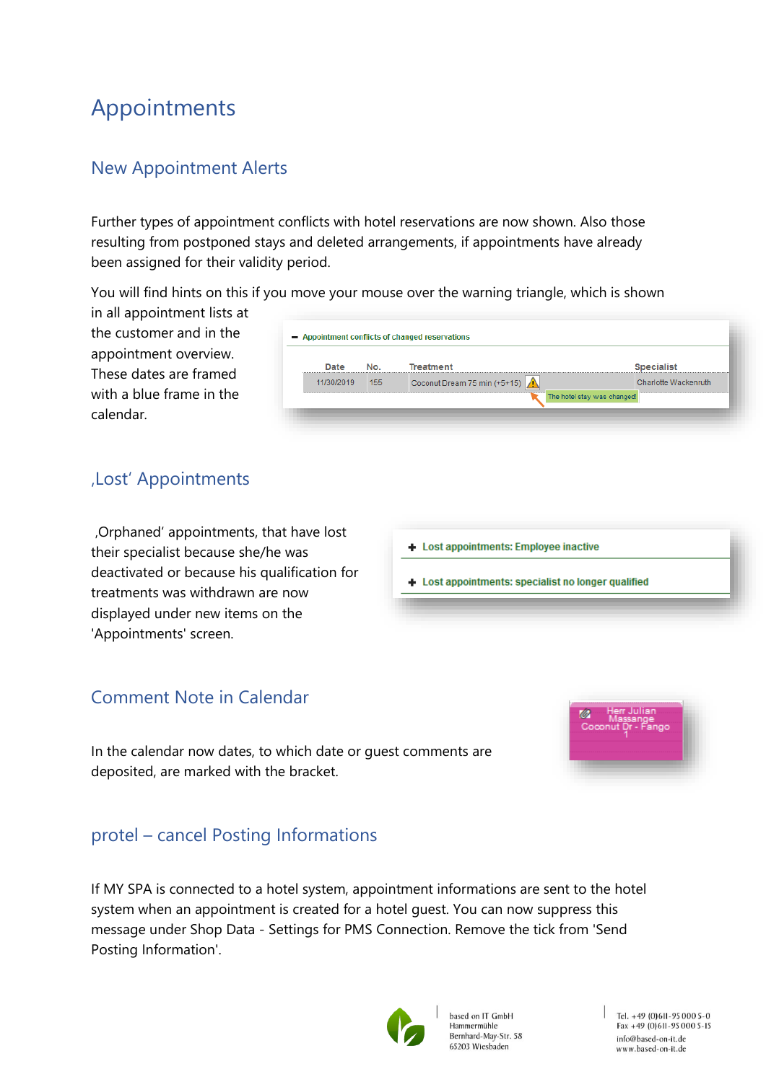# <span id="page-4-0"></span>Appointments

### <span id="page-4-1"></span>New Appointment Alerts

Further types of appointment conflicts with hotel reservations are now shown. Also those resulting from postponed stays and deleted arrangements, if appointments have already been assigned for their validity period.

You will find hints on this if you move your mouse over the warning triangle, which is shown

in all appointment lists at the customer and in the appointment overview. These dates are framed with a blue frame in the calendar.

| Date       | No. | Treatment                    | <b>Specialist</b>    |
|------------|-----|------------------------------|----------------------|
| 11/30/2019 | 155 | Coconut Dream 75 min (+5+15) | Charlotte Wackenruth |

#### <span id="page-4-2"></span>'Lost' Appointments

'Orphaned' appointments, that have lost their specialist because she/he was deactivated or because his qualification for treatments was withdrawn are now displayed under new items on the 'Appointments' screen.

#### <span id="page-4-3"></span>Comment Note in Calendar

In the calendar now dates, to which date or guest comments are deposited, are marked with the bracket.

### <span id="page-4-4"></span>protel – cancel Posting Informations

If MY SPA is connected to a hotel system, appointment informations are sent to the hotel system when an appointment is created for a hotel guest. You can now suppress this message under Shop Data - Settings for PMS Connection. Remove the tick from 'Send Posting Information'.



based on IT GmbH Hammermühle Bernhard-May-Str. 58 65203 Wiesbaden



+ Lost appointments: Employee inactive

+ Lost appointments: specialist no longer qualified